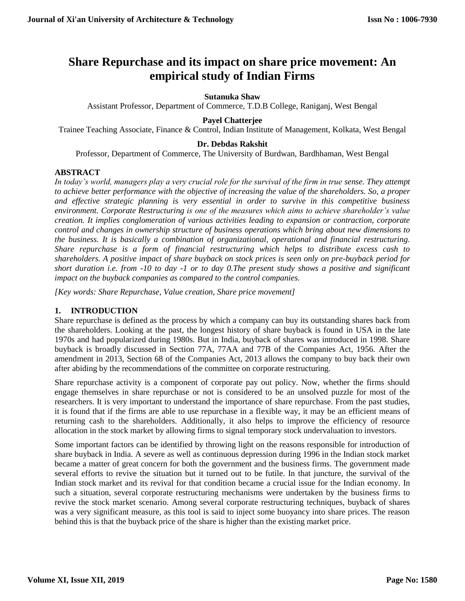# **Share Repurchase and its impact on share price movement: An empirical study of Indian Firms**

## **Sutanuka Shaw**

Assistant Professor, Department of Commerce, T.D.B College, Raniganj, West Bengal

## **Payel Chatterjee**

Trainee Teaching Associate, Finance & Control, Indian Institute of Management, Kolkata, West Bengal

## **Dr. Debdas Rakshit**

Professor, Department of Commerce, The University of Burdwan, Bardhhaman, West Bengal

### **ABSTRACT**

*In today's world, managers play a very crucial role for the survival of the firm in true sense. They attempt to achieve better performance with the objective of increasing the value of the shareholders. So, a proper and effective strategic planning is very essential in order to survive in this competitive business environment. Corporate Restructuring is one of the measures which aims to achieve shareholder's value creation. It implies conglomeration of various activities leading to expansion or contraction, corporate control and changes in ownership structure of business operations which bring about new dimensions to the business. It is basically a combination of organizational, operational and financial restructuring. Share repurchase is a form of financial restructuring which helps to distribute excess cash to shareholders. A positive impact of share buyback on stock prices is seen only on pre-buyback period for short duration i.e. from -10 to day -1 or to day 0.The present study shows a positive and significant impact on the buyback companies as compared to the control companies.*

*[Key words: Share Repurchase, Value creation, Share price movement]*

## **1. INTRODUCTION**

Share repurchase is defined as the process by which a company can buy its outstanding shares back from the shareholders. Looking at the past, the longest history of share buyback is found in USA in the late 1970s and had popularized during 1980s. But in India, buyback of shares was introduced in 1998. Share buyback is broadly discussed in Section 77A, 77AA and 77B of the Companies Act, 1956. After the amendment in 2013, Section 68 of the Companies Act, 2013 allows the company to buy back their own after abiding by the recommendations of the committee on corporate restructuring.

Share repurchase activity is a component of corporate pay out policy. Now, whether the firms should engage themselves in share repurchase or not is considered to be an unsolved puzzle for most of the researchers. It is very important to understand the importance of share repurchase. From the past studies, it is found that if the firms are able to use repurchase in a flexible way, it may be an efficient means of returning cash to the shareholders. Additionally, it also helps to improve the efficiency of resource allocation in the stock market by allowing firms to signal temporary stock undervaluation to investors.

Some important factors can be identified by throwing light on the reasons responsible for introduction of share buyback in India. A severe as well as continuous depression during 1996 in the Indian stock market became a matter of great concern for both the government and the business firms. The government made several efforts to revive the situation but it turned out to be futile. In that juncture, the survival of the Indian stock market and its revival for that condition became a crucial issue for the Indian economy. In such a situation, several corporate restructuring mechanisms were undertaken by the business firms to revive the stock market scenario. Among several corporate restructuring techniques, buyback of shares was a very significant measure, as this tool is said to inject some buoyancy into share prices. The reason behind this is that the buyback price of the share is higher than the existing market price.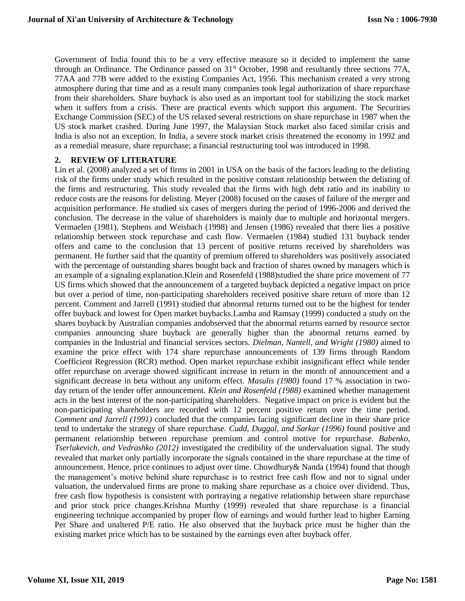Government of India found this to be a very effective measure so it decided to implement the same through an Ordinance. The Ordinance passed on 31<sup>st</sup> October, 1998 and resultantly three sections 77A, 77AA and 77B were added to the existing Companies Act, 1956. This mechanism created a very strong atmosphere during that time and as a result many companies took legal authorization of share repurchase from their shareholders. Share buyback is also used as an important tool for stabilizing the stock market when it suffers from a crisis. There are practical events which support this argument. The Securities Exchange Commission (SEC) of the US relaxed several restrictions on share repurchase in 1987 when the US stock market crashed. During June 1997, the Malaysian Stock market also faced similar crisis and India is also not an exception. In India, a severe stock market crisis threatened the economy in 1992 and as a remedial measure, share repurchase; a financial restructuring tool was introduced in 1998.

#### **2. REVIEW OF LITERATURE**

Lin et al. (2008) analyzed a set of firms in 2001 in USA on the basis of the factors leading to the delisting risk of the firms under study which resulted in the positive constant relationship between the delisting of the firms and restructuring. This study revealed that the firms with high debt ratio and its inability to reduce costs are the reasons for delisting. Meyer (2008) focused on the causes of failure of the merger and acquisition performance. He studied six cases of mergers during the period of 1996-2006 and derived the conclusion. The decrease in the value of shareholders is mainly due to multiple and horizontal mergers. Vermaelen (1981), Stephens and Weisbach (1998) and Jensen (1986) revealed that there lies a positive relationship between stock repurchase and cash flow. Vermaelen (1984) studied 131 buyback tender offers and came to the conclusion that 13 percent of positive returns received by shareholders was permanent. He further said that the quantity of premium offered to shareholders was positively associated with the percentage of outstanding shares bought back and fraction of shares owned by managers which is an example of a signaling explanation.Klein and Rosenfeld (1988)studied the share price movement of 77 US firms which showed that the announcement of a targeted buyback depicted a negative impact on price but over a period of time, non-participating shareholders received positive share return of more than 12 percent. Comment and Jarrell (1991) studied that abnormal returns turned out to be the highest for tender offer buyback and lowest for Open market buybacks.Lamba and Ramsay (1999) conducted a study on the shares buyback by Australian companies andobserved that the abnormal returns earned by resource sector companies announcing share buyback are generally higher than the abnormal returns earned by companies in the Industrial and financial services sectors. *Dielman, Nantell, and Wright (1980)* aimed to examine the price effect with 174 share repurchase announcements of 139 firms through Random Coefficient Regression (RCR) method. Open market repurchase exhibit insignificant effect while tender offer repurchase on average showed significant increase in return in the month of announcement and a significant decrease in beta without any uniform effect. *Masulis (1980)* found 17 % association in twoday return of the tender offer announcement. *Klein and Rosenfeld (1988)* examined whether management acts in the best interest of the non-participating shareholders. Negative impact on price is evident but the non-participating shareholders are recorded with 12 percent positive return over the time period. *Comment and Jarrell (1991)* concluded that the companies facing significant decline in their share price tend to undertake the strategy of share repurchase. *Cudd, Duggal, and Sarkar (1996)* found positive and permanent relationship between repurchase premium and control motive for repurchase. *Babenko, Tserlukevich, and Vedrashko (2012)* investigated the credibility of the undervaluation signal. The study revealed that market only partially incorporate the signals contained in the share repurchase at the time of announcement. Hence, price continues to adjust over time. Chowdhury& Nanda (1994) found that though the management's motive behind share repurchase is to restrict free cash flow and not to signal under valuation, the undervalued firms are prone to making share repurchase as a choice over dividend. Thus, free cash flow hypothesis is consistent with portraying a negative relationship between share repurchase and prior stock price changes.Krishna Murthy (1999) revealed that share repurchase is a financial engineering technique accompanied by proper flow of earnings and would further lead to higher Earning Per Share and unaltered P/E ratio. He also observed that the buyback price must be higher than the existing market price which has to be sustained by the earnings even after buyback offer.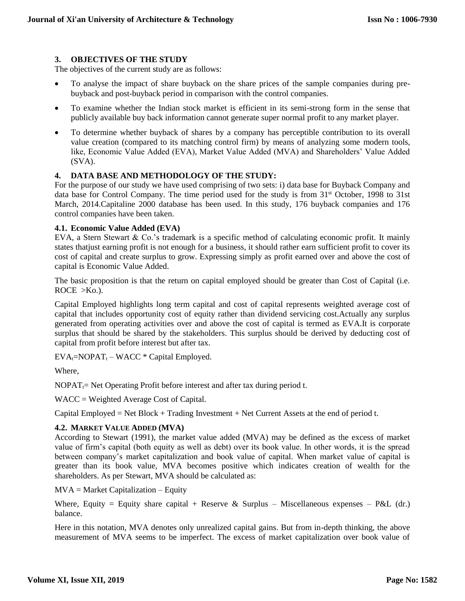## **3. OBJECTIVES OF THE STUDY**

The objectives of the current study are as follows:

- To analyse the impact of share buyback on the share prices of the sample companies during prebuyback and post-buyback period in comparison with the control companies.
- To examine whether the Indian stock market is efficient in its semi-strong form in the sense that publicly available buy back information cannot generate super normal profit to any market player.
- To determine whether buyback of shares by a company has perceptible contribution to its overall value creation (compared to its matching control firm) by means of analyzing some modern tools, like, Economic Value Added (EVA), Market Value Added (MVA) and Shareholders' Value Added (SVA).

## **4. DATA BASE AND METHODOLOGY OF THE STUDY:**

For the purpose of our study we have used comprising of two sets: i) data base for Buyback Company and data base for Control Company. The time period used for the study is from 31<sup>st</sup> October, 1998 to 31st March, 2014.Capitaline 2000 database has been used. In this study, 176 buyback companies and 176 control companies have been taken.

### **4.1. Economic Value Added (EVA)**

EVA, a Stern Stewart & Co.'s trademark is a specific method of calculating economic profit. It mainly states thatjust earning profit is not enough for a business, it should rather earn sufficient profit to cover its cost of capital and create surplus to grow. Expressing simply as profit earned over and above the cost of capital is Economic Value Added.

The basic proposition is that the return on capital employed should be greater than Cost of Capital (i.e.  $ROCE > Ko.$ ).

Capital Employed highlights long term capital and cost of capital represents weighted average cost of capital that includes opportunity cost of equity rather than dividend servicing cost.Actually any surplus generated from operating activities over and above the cost of capital is termed as EVA.It is corporate surplus that should be shared by the stakeholders. This surplus should be derived by deducting cost of capital from profit before interest but after tax.

 $EVA_t = NOPATH_t - WACC * Capital Emploved.$ 

Where,

 $NOPAT_t = Net Operating Profit before interest and after tax during period t.$ 

WACC = Weighted Average Cost of Capital.

Capital Employed = Net Block + Trading Investment + Net Current Assets at the end of period t.

### **4.2. MARKET VALUE ADDED (MVA)**

According to Stewart (1991), the market value added (MVA) may be defined as the excess of market value of firm's capital (both equity as well as debt) over its book value. In other words, it is the spread between company's market capitalization and book value of capital. When market value of capital is greater than its book value, MVA becomes positive which indicates creation of wealth for the shareholders. As per Stewart, MVA should be calculated as:

 $MVA = Market Capitalization - Equity$ 

Where, Equity = Equity share capital + Reserve & Surplus – Miscellaneous expenses – P&L (dr.) balance.

Here in this notation, MVA denotes only unrealized capital gains. But from in-depth thinking, the above measurement of MVA seems to be imperfect. The excess of market capitalization over book value of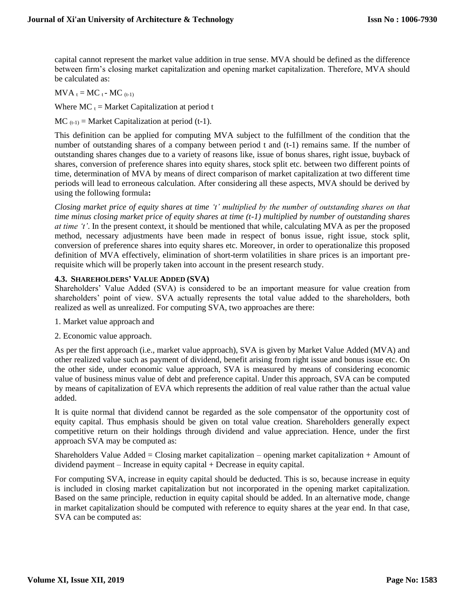capital cannot represent the market value addition in true sense. MVA should be defined as the difference between firm's closing market capitalization and opening market capitalization. Therefore, MVA should be calculated as:

 $MVA_t = MC_t - MC_{(t-1)}$ 

Where  $MC_t = Market Capitalization at period t$ 

 $MC_{(t-1)} = Market Capitalization at period (t-1).$ 

This definition can be applied for computing MVA subject to the fulfillment of the condition that the number of outstanding shares of a company between period t and (t-1) remains same. If the number of outstanding shares changes due to a variety of reasons like, issue of bonus shares, right issue, buyback of shares, conversion of preference shares into equity shares, stock split etc. between two different points of time, determination of MVA by means of direct comparison of market capitalization at two different time periods will lead to erroneous calculation. After considering all these aspects, MVA should be derived by using the following formula**:**

*Closing market price of equity shares at time 't' multiplied by the number of outstanding shares on that time minus closing market price of equity shares at time (t-1) multiplied by number of outstanding shares at time 't'*. In the present context, it should be mentioned that while, calculating MVA as per the proposed method, necessary adjustments have been made in respect of bonus issue, right issue, stock split, conversion of preference shares into equity shares etc. Moreover, in order to operationalize this proposed definition of MVA effectively, elimination of short-term volatilities in share prices is an important prerequisite which will be properly taken into account in the present research study.

### **4.3. SHAREHOLDERS' VALUE ADDED (SVA)**

Shareholders' Value Added (SVA) is considered to be an important measure for value creation from shareholders' point of view. SVA actually represents the total value added to the shareholders, both realized as well as unrealized. For computing SVA, two approaches are there:

- 1. Market value approach and
- 2. Economic value approach.

As per the first approach (i.e., market value approach), SVA is given by Market Value Added (MVA) and other realized value such as payment of dividend, benefit arising from right issue and bonus issue etc. On the other side, under economic value approach, SVA is measured by means of considering economic value of business minus value of debt and preference capital. Under this approach, SVA can be computed by means of capitalization of EVA which represents the addition of real value rather than the actual value added.

It is quite normal that dividend cannot be regarded as the sole compensator of the opportunity cost of equity capital. Thus emphasis should be given on total value creation. Shareholders generally expect competitive return on their holdings through dividend and value appreciation. Hence, under the first approach SVA may be computed as:

Shareholders Value Added = Closing market capitalization – opening market capitalization  $+$  Amount of dividend payment – Increase in equity capital + Decrease in equity capital.

For computing SVA, increase in equity capital should be deducted. This is so, because increase in equity is included in closing market capitalization but not incorporated in the opening market capitalization. Based on the same principle, reduction in equity capital should be added. In an alternative mode, change in market capitalization should be computed with reference to equity shares at the year end. In that case, SVA can be computed as: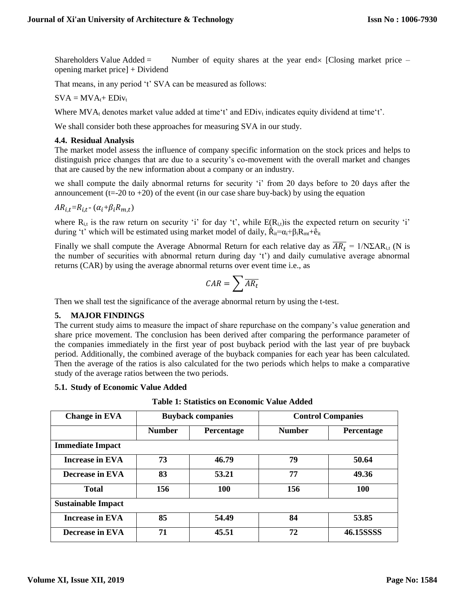Shareholders Value Added = Number of equity shares at the year end  $\times$  [Closing market price – opening market price] + Dividend

That means, in any period 't' SVA can be measured as follows:

 $SVA = MVA_{t} + EDiv_{t}$ 

Where  $MVA_t$  denotes market value added at time't' and  $EDiv_t$  indicates equity dividend at time't'.

We shall consider both these approaches for measuring SVA in our study.

#### **4.4. Residual Analysis**

The market model assess the influence of company specific information on the stock prices and helps to distinguish price changes that are due to a security's co-movement with the overall market and changes that are caused by the new information about a company or an industry.

we shall compute the daily abnormal returns for security 'i' from 20 days before to 20 days after the announcement ( $t=-20$  to  $+20$ ) of the event (in our case share buy-back) by using the equation

$$
AR_{i,t} = R_{i,t} - (\alpha_i + \beta_i R_{m,t})
$$

where  $R_{i,t}$  is the raw return on security 'i' for day 't', while  $E(R_{i,t})$  is the expected return on security 'i' during 't' which will be estimated using market model of daily,  $\tilde{R}_{it} = \alpha_i + \beta_i R_{mt} + \hat{e}_{it}$ 

Finally we shall compute the Average Abnormal Return for each relative day as  $\overline{AR_t} = 1/N\Sigma AR_{i,t}$  (N is the number of securities with abnormal return during day 't') and daily cumulative average abnormal returns (CAR) by using the average abnormal returns over event time i.e., as

$$
\mathit{CAR} = \sum \overline{\mathit{AR}_t}
$$

Then we shall test the significance of the average abnormal return by using the t-test.

### **5. MAJOR FINDINGS**

The current study aims to measure the impact of share repurchase on the company's value generation and share price movement. The conclusion has been derived after comparing the performance parameter of the companies immediately in the first year of post buyback period with the last year of pre buyback period. Additionally, the combined average of the buyback companies for each year has been calculated. Then the average of the ratios is also calculated for the two periods which helps to make a comparative study of the average ratios between the two periods.

**5.1. Study of Economic Value Added**

**Table 1: Statistics on Economic Value Added**

| <b>Change in EVA</b>      | <b>Buyback companies</b> |            | <b>Control Companies</b> |            |
|---------------------------|--------------------------|------------|--------------------------|------------|
|                           | <b>Number</b>            | Percentage | <b>Number</b>            | Percentage |
| <b>Immediate Impact</b>   |                          |            |                          |            |
| <b>Increase in EVA</b>    | 73                       | 46.79      | 79                       | 50.64      |
| <b>Decrease in EVA</b>    | 83                       | 53.21      | 77                       | 49.36      |
| <b>Total</b>              | 156                      | <b>100</b> | 156                      | <b>100</b> |
| <b>Sustainable Impact</b> |                          |            |                          |            |
| <b>Increase in EVA</b>    | 85                       | 54.49      | 84                       | 53.85      |
| Decrease in EVA           | 71                       | 45.51      | 72                       | 46.15SSSS  |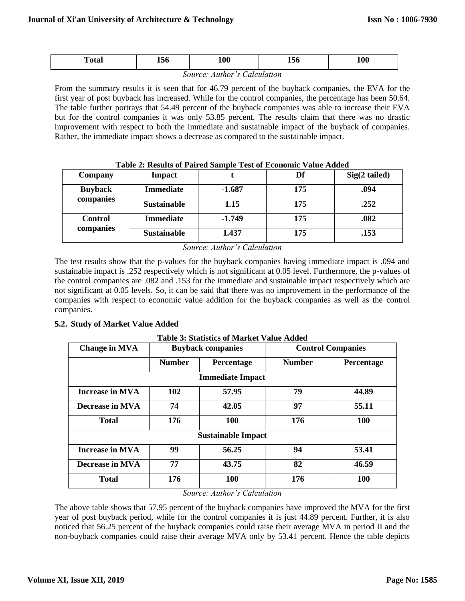| Totar | 150 | Λ0<br>TA      | <b>AJU</b> | 100 |
|-------|-----|---------------|------------|-----|
|       |     | $\sim$ $\sim$ | . .        |     |

*Source: Author's Calculation*

From the summary results it is seen that for 46.79 percent of the buyback companies, the EVA for the first year of post buyback has increased. While for the control companies, the percentage has been 50.64. The table further portrays that 54.49 percent of the buyback companies was able to increase their EVA but for the control companies it was only 53.85 percent. The results claim that there was no drastic improvement with respect to both the immediate and sustainable impact of the buyback of companies. Rather, the immediate impact shows a decrease as compared to the sustainable impact.

| Company                     | <b>Impact</b>      |          | Df  | $Sig(2$ tailed) |
|-----------------------------|--------------------|----------|-----|-----------------|
| <b>Buyback</b><br>companies | <b>Immediate</b>   | $-1.687$ | 175 | .094            |
|                             | <b>Sustainable</b> | 1.15     | 175 | .252            |
| <b>Control</b>              | <b>Immediate</b>   | $-1.749$ | 175 | .082            |
| companies                   | <b>Sustainable</b> | 1.437    | 175 | .153            |

#### **Table 2: Results of Paired Sample Test of Economic Value Added**

*Source: Author's Calculation*

The test results show that the p-values for the buyback companies having immediate impact is .094 and sustainable impact is .252 respectively which is not significant at 0.05 level. Furthermore, the p-values of the control companies are .082 and .153 for the immediate and sustainable impact respectively which are not significant at 0.05 levels. So, it can be said that there was no improvement in the performance of the companies with respect to economic value addition for the buyback companies as well as the control companies.

### **5.2. Study of Market Value Added**

| <b>Change in MVA</b>   | <b>Buyback companies</b> |                           |               | <b>Control Companies</b> |  |  |
|------------------------|--------------------------|---------------------------|---------------|--------------------------|--|--|
|                        | <b>Number</b>            | Percentage                | <b>Number</b> | Percentage               |  |  |
|                        | <b>Immediate Impact</b>  |                           |               |                          |  |  |
| <b>Increase in MVA</b> | 102                      | 57.95                     | 79            | 44.89                    |  |  |
| <b>Decrease in MVA</b> | 74                       | 42.05                     | 97            | 55.11                    |  |  |
| <b>Total</b>           | 176                      | <b>100</b>                | 176           | <b>100</b>               |  |  |
|                        |                          | <b>Sustainable Impact</b> |               |                          |  |  |
| <b>Increase in MVA</b> | 99                       | 56.25                     | 94            | 53.41                    |  |  |
| <b>Decrease in MVA</b> | 77                       | 43.75                     | 82            | 46.59                    |  |  |
| <b>Total</b>           | 176                      | <b>100</b>                | 176           | 100                      |  |  |

**Table 3: Statistics of Market Value Added**

*Source: Author's Calculation*

The above table shows that 57.95 percent of the buyback companies have improved the MVA for the first year of post buyback period, while for the control companies it is just 44.89 percent. Further, it is also noticed that 56.25 percent of the buyback companies could raise their average MVA in period II and the non-buyback companies could raise their average MVA only by 53.41 percent. Hence the table depicts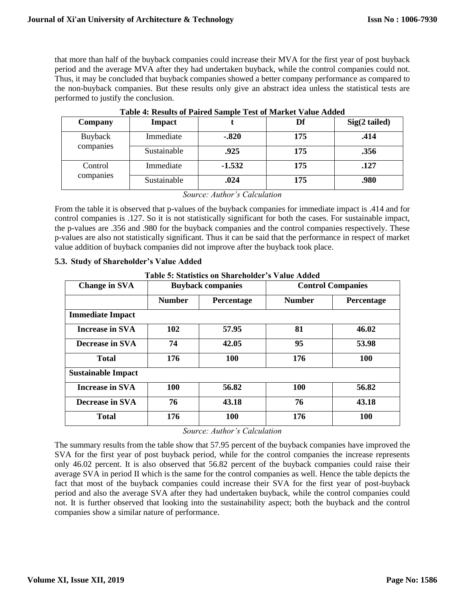that more than half of the buyback companies could increase their MVA for the first year of post buyback period and the average MVA after they had undertaken buyback, while the control companies could not. Thus, it may be concluded that buyback companies showed a better company performance as compared to the non-buyback companies. But these results only give an abstract idea unless the statistical tests are performed to justify the conclusion.

| Company              | <b>Impact</b> |          | Df  | $Sig(2$ tailed) |
|----------------------|---------------|----------|-----|-----------------|
| Buyback<br>companies | Immediate     | $-.820$  | 175 | .414            |
|                      | Sustainable   | .925     | 175 | .356            |
| Control<br>companies | Immediate     | $-1.532$ | 175 | .127            |
|                      | Sustainable   | .024     | 175 | .980            |

|  | Table 4: Results of Paired Sample Test of Market Value Added |
|--|--------------------------------------------------------------|
|--|--------------------------------------------------------------|

*Source: Author's Calculation*

From the table it is observed that p-values of the buyback companies for immediate impact is .414 and for control companies is .127. So it is not statistically significant for both the cases. For sustainable impact, the p-values are .356 and .980 for the buyback companies and the control companies respectively. These p-values are also not statistically significant. Thus it can be said that the performance in respect of market value addition of buyback companies did not improve after the buyback took place.

## **5.3. Study of Shareholder's Value Added**

**Table 5: Statistics on Shareholder's Value Added**

| <b>Change in SVA</b>      | <b>Buyback companies</b> |            |               | <b>Control Companies</b> |
|---------------------------|--------------------------|------------|---------------|--------------------------|
|                           | <b>Number</b>            | Percentage | <b>Number</b> | Percentage               |
| <b>Immediate Impact</b>   |                          |            |               |                          |
| <b>Increase in SVA</b>    | 102                      | 57.95      | 81            | 46.02                    |
| <b>Decrease in SVA</b>    | 74                       | 42.05      | 95            | 53.98                    |
| <b>Total</b>              | 176                      | 100        | 176           | 100                      |
| <b>Sustainable Impact</b> |                          |            |               |                          |
| <b>Increase in SVA</b>    | 100                      | 56.82      | <b>100</b>    | 56.82                    |
| Decrease in SVA           | 76                       | 43.18      | 76            | 43.18                    |
| <b>Total</b>              | 176                      | <b>100</b> | 176           | <b>100</b>               |

*Source: Author's Calculation*

The summary results from the table show that 57.95 percent of the buyback companies have improved the SVA for the first year of post buyback period, while for the control companies the increase represents only 46.02 percent. It is also observed that 56.82 percent of the buyback companies could raise their average SVA in period II which is the same for the control companies as well. Hence the table depicts the fact that most of the buyback companies could increase their SVA for the first year of post-buyback period and also the average SVA after they had undertaken buyback, while the control companies could not. It is further observed that looking into the sustainability aspect; both the buyback and the control companies show a similar nature of performance.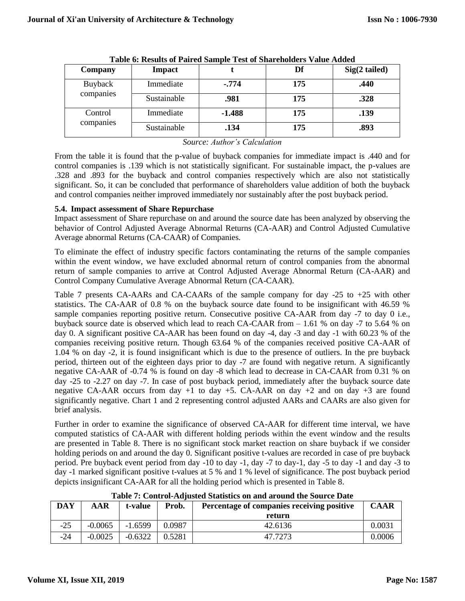| Company   | <b>Impact</b> |          | Df  | $Sig(2$ tailed) |
|-----------|---------------|----------|-----|-----------------|
| Buyback   | Immediate     | $-.774$  | 175 | .440            |
| companies | Sustainable   | .981     | 175 | .328            |
| Control   | Immediate     | $-1.488$ | 175 | .139            |
| companies | Sustainable   | .134     | 175 | .893            |

| Table 6: Results of Paired Sample Test of Shareholders Value Added |  |  |
|--------------------------------------------------------------------|--|--|
|--------------------------------------------------------------------|--|--|

*Source: Author's Calculation*

From the table it is found that the p-value of buyback companies for immediate impact is .440 and for control companies is .139 which is not statistically significant. For sustainable impact, the p-values are .328 and .893 for the buyback and control companies respectively which are also not statistically significant. So, it can be concluded that performance of shareholders value addition of both the buyback and control companies neither improved immediately nor sustainably after the post buyback period.

### **5.4. Impact assessment of Share Repurchase**

Impact assessment of Share repurchase on and around the source date has been analyzed by observing the behavior of Control Adjusted Average Abnormal Returns (CA-AAR) and Control Adjusted Cumulative Average abnormal Returns (CA-CAAR) of Companies.

To eliminate the effect of industry specific factors contaminating the returns of the sample companies within the event window, we have excluded abnormal return of control companies from the abnormal return of sample companies to arrive at Control Adjusted Average Abnormal Return (CA-AAR) and Control Company Cumulative Average Abnormal Return (CA-CAAR).

Table 7 presents CA-AARs and CA-CAARs of the sample company for day  $-25$  to  $+25$  with other statistics. The CA-AAR of 0.8 % on the buyback source date found to be insignificant with 46.59 % sample companies reporting positive return. Consecutive positive CA-AAR from day -7 to day 0 i.e., buyback source date is observed which lead to reach CA-CAAR from – 1.61 % on day -7 to 5.64 % on day 0. A significant positive CA-AAR has been found on day -4, day -3 and day -1 with 60.23 % of the companies receiving positive return. Though 63.64 % of the companies received positive CA-AAR of 1.04 % on day -2, it is found insignificant which is due to the presence of outliers. In the pre buyback period, thirteen out of the eighteen days prior to day -7 are found with negative return. A significantly negative CA-AAR of -0.74 % is found on day -8 which lead to decrease in CA-CAAR from 0.31 % on day -25 to -2.27 on day -7. In case of post buyback period, immediately after the buyback source date negative CA-AAR occurs from day  $+1$  to day  $+5$ . CA-AAR on day  $+2$  and on day  $+3$  are found significantly negative. Chart 1 and 2 representing control adjusted AARs and CAARs are also given for brief analysis.

Further in order to examine the significance of observed CA-AAR for different time interval, we have computed statistics of CA-AAR with different holding periods within the event window and the results are presented in Table 8. There is no significant stock market reaction on share buyback if we consider holding periods on and around the day 0. Significant positive t-values are recorded in case of pre buyback period. Pre buyback event period from day -10 to day -1, day -7 to day-1, day -5 to day -1 and day -3 to day -1 marked significant positive t-values at 5 % and 1 % level of significance. The post buyback period depicts insignificant CA-AAR for all the holding period which is presented in Table 8.

| <b>DAY</b> | AAR       | t-value   | Prob.  | Percentage of companies receiving positive<br>return | <b>CAAR</b> |
|------------|-----------|-----------|--------|------------------------------------------------------|-------------|
| $-25$      | $-0.0065$ | $-1.6599$ | 0.0987 | 42.6136                                              | 0.0031      |
| $-24$      | $-0.0025$ | $-0.6322$ | 0.5281 | 47.7273                                              | 0.0006      |

**Table 7: Control-Adjusted Statistics on and around the Source Date**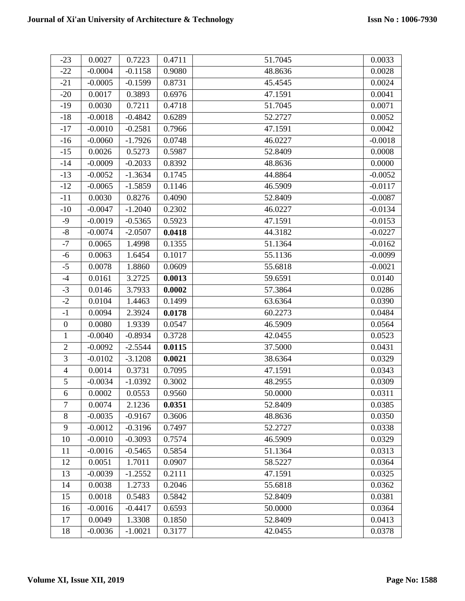| $-23$          | 0.0027    | 0.7223    | 0.4711 | 51.7045 | 0.0033    |
|----------------|-----------|-----------|--------|---------|-----------|
| $-22$          | $-0.0004$ | $-0.1158$ | 0.9080 | 48.8636 | 0.0028    |
| $-21$          | $-0.0005$ | $-0.1599$ | 0.8731 | 45.4545 | 0.0024    |
| $-20$          | 0.0017    | 0.3893    | 0.6976 | 47.1591 | 0.0041    |
| $-19$          | 0.0030    | 0.7211    | 0.4718 | 51.7045 | 0.0071    |
| $-18$          | $-0.0018$ | $-0.4842$ | 0.6289 | 52.2727 | 0.0052    |
| $-17$          | $-0.0010$ | $-0.2581$ | 0.7966 | 47.1591 | 0.0042    |
| $-16$          | $-0.0060$ | $-1.7926$ | 0.0748 | 46.0227 | $-0.0018$ |
| $-15$          | 0.0026    | 0.5273    | 0.5987 | 52.8409 | 0.0008    |
| $-14$          | $-0.0009$ | $-0.2033$ | 0.8392 | 48.8636 | 0.0000    |
| $-13$          | $-0.0052$ | $-1.3634$ | 0.1745 | 44.8864 | $-0.0052$ |
| $-12$          | $-0.0065$ | $-1.5859$ | 0.1146 | 46.5909 | $-0.0117$ |
| $-11$          | 0.0030    | 0.8276    | 0.4090 | 52.8409 | $-0.0087$ |
| $-10$          | $-0.0047$ | $-1.2040$ | 0.2302 | 46.0227 | $-0.0134$ |
| $-9$           | $-0.0019$ | $-0.5365$ | 0.5923 | 47.1591 | $-0.0153$ |
| $-8$           | $-0.0074$ | $-2.0507$ | 0.0418 | 44.3182 | $-0.0227$ |
| $-7$           | 0.0065    | 1.4998    | 0.1355 | 51.1364 | $-0.0162$ |
| $-6$           | 0.0063    | 1.6454    | 0.1017 | 55.1136 | $-0.0099$ |
| $-5$           | 0.0078    | 1.8860    | 0.0609 | 55.6818 | $-0.0021$ |
| $-4$           | 0.0161    | 3.2725    | 0.0013 | 59.6591 | 0.0140    |
| $-3$           | 0.0146    | 3.7933    | 0.0002 | 57.3864 | 0.0286    |
| $-2$           | 0.0104    | 1.4463    | 0.1499 | 63.6364 | 0.0390    |
| $-1$           | 0.0094    | 2.3924    | 0.0178 | 60.2273 | 0.0484    |
| $\overline{0}$ | 0.0080    | 1.9339    | 0.0547 | 46.5909 | 0.0564    |
| $\mathbf{1}$   | $-0.0040$ | $-0.8934$ | 0.3728 | 42.0455 | 0.0523    |
| $\overline{2}$ | $-0.0092$ | $-2.5544$ | 0.0115 | 37.5000 | 0.0431    |
| 3              | $-0.0102$ | $-3.1208$ | 0.0021 | 38.6364 | 0.0329    |
| $\overline{4}$ | 0.0014    | 0.3731    | 0.7095 | 47.1591 | 0.0343    |
| $\overline{5}$ | $-0.0034$ | $-1.0392$ | 0.3002 | 48.2955 | 0.0309    |
| 6              | 0.0002    | 0.0553    | 0.9560 | 50.0000 | 0.0311    |
| $\tau$         | 0.0074    | 2.1236    | 0.0351 | 52.8409 | 0.0385    |
| $\,8\,$        | $-0.0035$ | $-0.9167$ | 0.3606 | 48.8636 | 0.0350    |
| 9              | $-0.0012$ | $-0.3196$ | 0.7497 | 52.2727 | 0.0338    |
| 10             | $-0.0010$ | $-0.3093$ | 0.7574 | 46.5909 | 0.0329    |
| 11             | $-0.0016$ | $-0.5465$ | 0.5854 | 51.1364 | 0.0313    |
| 12             | 0.0051    | 1.7011    | 0.0907 | 58.5227 | 0.0364    |
| 13             | $-0.0039$ | $-1.2552$ | 0.2111 | 47.1591 | 0.0325    |
| 14             | 0.0038    | 1.2733    | 0.2046 | 55.6818 | 0.0362    |
| 15             | 0.0018    | 0.5483    | 0.5842 | 52.8409 | 0.0381    |
| 16             | $-0.0016$ | $-0.4417$ | 0.6593 | 50.0000 | 0.0364    |
| 17             | 0.0049    | 1.3308    | 0.1850 | 52.8409 | 0.0413    |
| 18             | $-0.0036$ | $-1.0021$ | 0.3177 | 42.0455 | 0.0378    |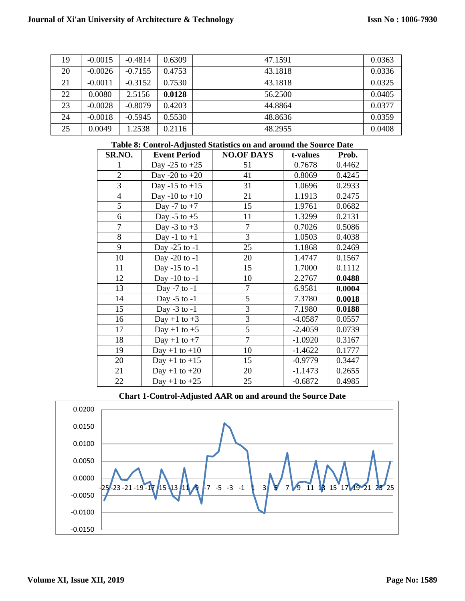| 19 | $-0.0015$ | $-0.4814$ | 0.6309 | 47.1591 | 0.0363 |
|----|-----------|-----------|--------|---------|--------|
| 20 | $-0.0026$ | $-0.7155$ | 0.4753 | 43.1818 | 0.0336 |
| 21 | $-0.0011$ | $-0.3152$ | 0.7530 | 43.1818 | 0.0325 |
| 22 | 0.0080    | 2.5156    | 0.0128 | 56.2500 | 0.0405 |
| 23 | $-0.0028$ | $-0.8079$ | 0.4203 | 44.8864 | 0.0377 |
| 24 | $-0.0018$ | $-0.5945$ | 0.5530 | 48.8636 | 0.0359 |
| 25 | 0.0049    | 1.2538    | 0.2116 | 48.2955 | 0.0408 |

| Lable 6. Control-Aujusted Statistics on and around the Source Date |                     |                   |           |        |
|--------------------------------------------------------------------|---------------------|-------------------|-----------|--------|
| SR.NO.                                                             | <b>Event Period</b> | <b>NO.OF DAYS</b> | t-values  | Prob.  |
| 1                                                                  | Day -25 to $+25$    | 51                | 0.7678    | 0.4462 |
| $\overline{2}$                                                     | Day -20 to $+20$    | 41                | 0.8069    | 0.4245 |
| 3                                                                  | Day -15 to $+15$    | 31                | 1.0696    | 0.2933 |
| $\overline{4}$                                                     | Day -10 to $+10$    | 21                | 1.1913    | 0.2475 |
| 5                                                                  | Day -7 to $+7$      | 15                | 1.9761    | 0.0682 |
| 6                                                                  | Day -5 to $+5$      | 11                | 1.3299    | 0.2131 |
| 7                                                                  | Day -3 to $+3$      | 7                 | 0.7026    | 0.5086 |
| 8                                                                  | Day -1 to $+1$      | 3                 | 1.0503    | 0.4038 |
| 9                                                                  | Day -25 to -1       | 25                | 1.1868    | 0.2469 |
| 10                                                                 | Day -20 to -1       | 20                | 1.4747    | 0.1567 |
| 11                                                                 | Day -15 to -1       | 15                | 1.7000    | 0.1112 |
| 12                                                                 | Day -10 to -1       | 10                | 2.2767    | 0.0488 |
| 13                                                                 | Day -7 to -1        | 7                 | 6.9581    | 0.0004 |
| 14                                                                 | Day -5 to -1        | 5                 | 7.3780    | 0.0018 |
| 15                                                                 | Day $-3$ to $-1$    | 3                 | 7.1980    | 0.0188 |
| 16                                                                 | Day +1 to $+3$      | 3                 | $-4.0587$ | 0.0557 |
| 17                                                                 | Day +1 to $+5$      | $\overline{5}$    | $-2.4059$ | 0.0739 |
| 18                                                                 | Day +1 to $+7$      | 7                 | $-1.0920$ | 0.3167 |
| 19                                                                 | $Day + 1$ to $+10$  | 10                | $-1.4622$ | 0.1777 |
| 20                                                                 | Day +1 to +15       | 15                | $-0.9779$ | 0.3447 |
| 21                                                                 | Day +1 to $+20$     | 20                | $-1.1473$ | 0.2655 |
| 22                                                                 | Day +1 to $+25$     | 25                | $-0.6872$ | 0.4985 |

#### **Table 8: Control-Adjusted Statistics on and around the Source Date**

**Chart 1-Control-Adjusted AAR on and around the Source Date**

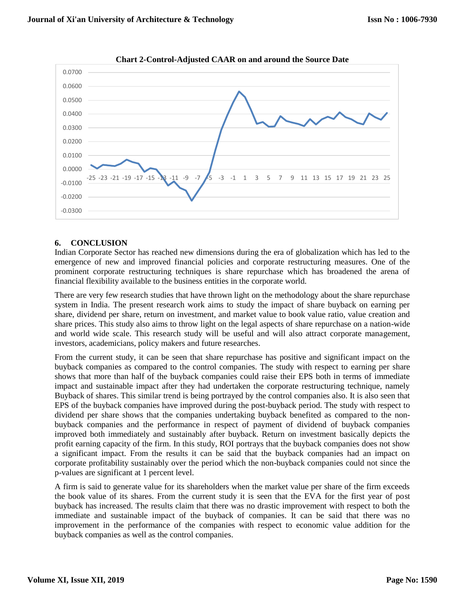

**Chart 2-Control-Adjusted CAAR on and around the Source Date**

### **6. CONCLUSION**

Indian Corporate Sector has reached new dimensions during the era of globalization which has led to the emergence of new and improved financial policies and corporate restructuring measures. One of the prominent corporate restructuring techniques is share repurchase which has broadened the arena of financial flexibility available to the business entities in the corporate world.

There are very few research studies that have thrown light on the methodology about the share repurchase system in India. The present research work aims to study the impact of share buyback on earning per share, dividend per share, return on investment, and market value to book value ratio, value creation and share prices. This study also aims to throw light on the legal aspects of share repurchase on a nation-wide and world wide scale. This research study will be useful and will also attract corporate management, investors, academicians, policy makers and future researches.

From the current study, it can be seen that share repurchase has positive and significant impact on the buyback companies as compared to the control companies. The study with respect to earning per share shows that more than half of the buyback companies could raise their EPS both in terms of immediate impact and sustainable impact after they had undertaken the corporate restructuring technique, namely Buyback of shares. This similar trend is being portrayed by the control companies also. It is also seen that EPS of the buyback companies have improved during the post-buyback period. The study with respect to dividend per share shows that the companies undertaking buyback benefited as compared to the nonbuyback companies and the performance in respect of payment of dividend of buyback companies improved both immediately and sustainably after buyback. Return on investment basically depicts the profit earning capacity of the firm. In this study, ROI portrays that the buyback companies does not show a significant impact. From the results it can be said that the buyback companies had an impact on corporate profitability sustainably over the period which the non-buyback companies could not since the p-values are significant at 1 percent level.

A firm is said to generate value for its shareholders when the market value per share of the firm exceeds the book value of its shares. From the current study it is seen that the EVA for the first year of post buyback has increased. The results claim that there was no drastic improvement with respect to both the immediate and sustainable impact of the buyback of companies. It can be said that there was no improvement in the performance of the companies with respect to economic value addition for the buyback companies as well as the control companies.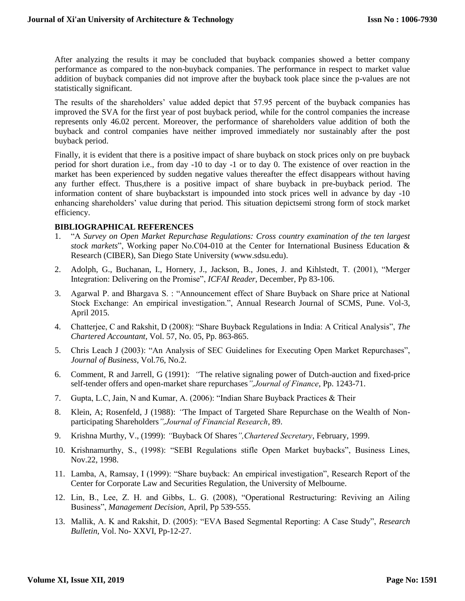After analyzing the results it may be concluded that buyback companies showed a better company performance as compared to the non-buyback companies. The performance in respect to market value addition of buyback companies did not improve after the buyback took place since the p-values are not statistically significant.

The results of the shareholders' value added depict that 57.95 percent of the buyback companies has improved the SVA for the first year of post buyback period, while for the control companies the increase represents only 46.02 percent. Moreover, the performance of shareholders value addition of both the buyback and control companies have neither improved immediately nor sustainably after the post buyback period.

Finally, it is evident that there is a positive impact of share buyback on stock prices only on pre buyback period for short duration i.e., from day -10 to day -1 or to day 0. The existence of over reaction in the market has been experienced by sudden negative values thereafter the effect disappears without having any further effect. Thus,there is a positive impact of share buyback in pre-buyback period. The information content of share buybackstart is impounded into stock prices well in advance by day -10 enhancing shareholders' value during that period. This situation depictsemi strong form of stock market efficiency.

#### **BIBLIOGRAPHICAL REFERENCES**

- 1. "A *Survey on Open Market Repurchase Regulations: Cross country examination of the ten largest stock markets*", Working paper No.C04-010 at the Center for International Business Education & Research (CIBER), San Diego State University (www.sdsu.edu).
- 2. Adolph, G., Buchanan, I., Hornery, J., Jackson, B., Jones, J. and Kihlstedt, T. (2001), "Merger Integration: Delivering on the Promise", *ICFAI Reader*, December, Pp 83-106.
- 3. Agarwal P. and Bhargava S. : "Announcement effect of Share Buyback on Share price at National Stock Exchange: An empirical investigation.", Annual Research Journal of SCMS, Pune. Vol-3, April 2015.
- 4. Chatterjee, C and Rakshit, D (2008): "Share Buyback Regulations in India: A Critical Analysis", *The Chartered Accountant*, Vol. 57, No. 05, Pp. 863-865.
- 5. Chris Leach J (2003): "An Analysis of SEC Guidelines for Executing Open Market Repurchases", *Journal of Business*, Vol.76, No.2.
- 6. Comment, R and Jarrell, G (1991): *"*The relative signaling power of Dutch-auction and fixed-price self-tender offers and open-market share repurchases*",Journal of Finance*, Pp. 1243-71.
- 7. Gupta, L.C, Jain, N and Kumar, A. (2006): "Indian Share Buyback Practices & Their
- 8. Klein, A; Rosenfeld, J (1988): *"*The Impact of Targeted Share Repurchase on the Wealth of Nonparticipating Shareholders*",Journal of Financial Research*, 89.
- 9. Krishna Murthy, V., (1999): *"*Buyback Of Shares*",Chartered Secretary*, February, 1999.
- 10. Krishnamurthy, S., (1998): "SEBI Regulations stifle Open Market buybacks", Business Lines, Nov.22, 1998.
- 11. Lamba, A, Ramsay, I (1999): "Share buyback: An empirical investigation", Research Report of the Center for Corporate Law and Securities Regulation, the University of Melbourne.
- 12. Lin, B., Lee, Z. H. and Gibbs, L. G. (2008), "Operational Restructuring: Reviving an Ailing Business", *Management Decision*, April, Pp 539-555.
- 13. Mallik, A. K and Rakshit, D. (2005): "EVA Based Segmental Reporting: A Case Study", *Research Bulletin*, Vol. No- XXVI, Pp-12-27.